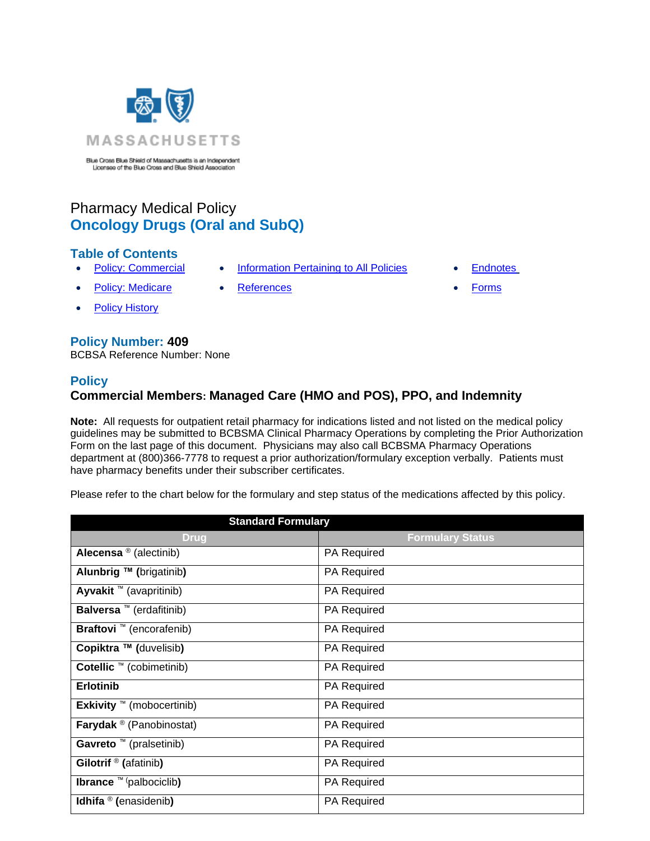

Blue Cross Blue Shield of Massachusetts is an Independent<br>Licensee of the Blue Cross and Blue Shield Association

# Pharmacy Medical Policy **Oncology Drugs (Oral and SubQ)**

# **Table of Contents**

- 
- **[Policy: Commercial](#page-0-0) Information Pertaining to All Policies [Endnotes](#page-11-0)**
- -
- [Policy: Medicare](#page-0-0) [References](#page-10-0) Forms
- **[Policy History](#page-9-0)**

# **Policy Number: 409**

BCBSA Reference Number: None

# **Policy**

# <span id="page-0-0"></span>**Commercial Members: Managed Care (HMO and POS), PPO, and Indemnity**

**Note:** All requests for outpatient retail pharmacy for indications listed and not listed on the medical policy guidelines may be submitted to BCBSMA Clinical Pharmacy Operations by completing the Prior Authorization Form on the last page of this document. Physicians may also call BCBSMA Pharmacy Operations department at (800)366-7778 to request a prior authorization/formulary exception verbally. Patients must have pharmacy benefits under their subscriber certificates.

Please refer to the chart below for the formulary and step status of the medications affected by this policy.

| <b>Standard Formulary</b>         |                         |  |
|-----------------------------------|-------------------------|--|
| <b>Drug</b>                       | <b>Formulary Status</b> |  |
| Alecensa ® (alectinib)            | PA Required             |  |
| Alunbrig ™ (brigatinib)           | <b>PA Required</b>      |  |
| Ayvakit ™ (avapritinib)           | PA Required             |  |
| Balversa ™ (erdafitinib)          | PA Required             |  |
| <b>Braftovi</b> ™ (encorafenib)   | PA Required             |  |
| Copiktra ™ (duvelisib)            | PA Required             |  |
| Cotellic ™ (cobimetinib)          | <b>PA Required</b>      |  |
| <b>Erlotinib</b>                  | <b>PA Required</b>      |  |
| Exkivity $M$ (mobocertinib)       | PA Required             |  |
| <b>Farydak</b> ® (Panobinostat)   | PA Required             |  |
| Gavreto ™ (pralsetinib)           | PA Required             |  |
| Gilotrif <sup>®</sup> (afatinib)  | <b>PA Required</b>      |  |
| <b>Ibrance</b> ™ (palbociclib)    | PA Required             |  |
| Idhifa $\mathcal{O}$ (enasidenib) | <b>PA Required</b>      |  |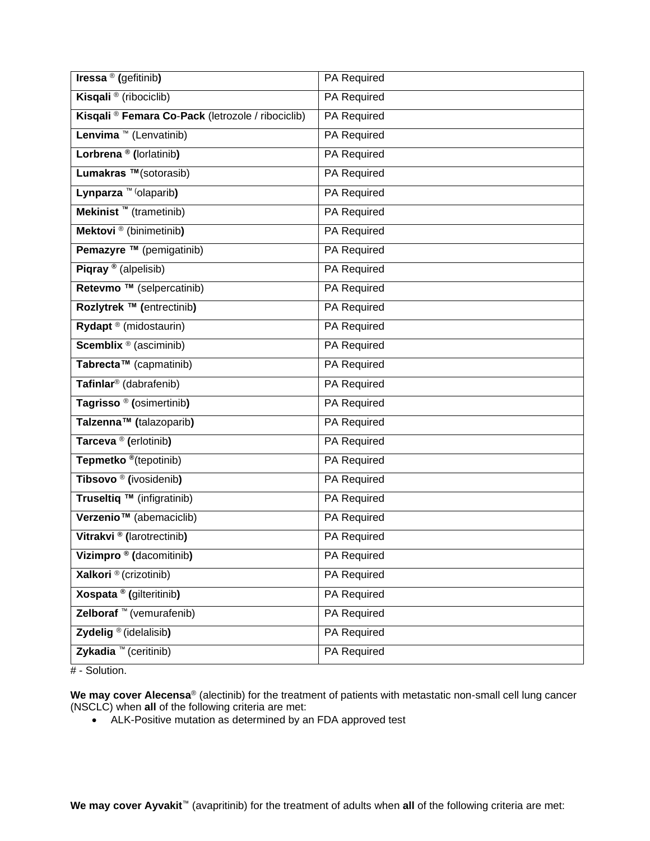| Iressa <sup>®</sup> (gefitinib)                   | PA Required |
|---------------------------------------------------|-------------|
| Kisqali <sup>®</sup> (ribociclib)                 | PA Required |
| Kisqali ® Femara Co-Pack (letrozole / ribociclib) | PA Required |
| Lenvima ™ (Lenvatinib)                            | PA Required |
| Lorbrena <sup>®</sup> (lorlatinib)                | PA Required |
| Lumakras ™(sotorasib)                             | PA Required |
| Lynparza ™ (olaparib)                             | PA Required |
| Mekinist ™ (trametinib)                           | PA Required |
| Mektovi <sup>®</sup> (binimetinib)                | PA Required |
| Pemazyre ™ (pemigatinib)                          | PA Required |
| Piqray <sup>®</sup> (alpelisib)                   | PA Required |
| Retevmo ™ (selpercatinib)                         | PA Required |
| Rozlytrek ™ (entrectinib)                         | PA Required |
| Rydapt ® (midostaurin)                            | PA Required |
| <b>Scemblix</b> <sup>®</sup> (asciminib)          | PA Required |
| Tabrecta <sup>™</sup> (capmatinib)                | PA Required |
| Tafinlar <sup>®</sup> (dabrafenib)                | PA Required |
| Tagrisso <sup>®</sup> (osimertinib)               | PA Required |
| Talzenna <sup>™</sup> (talazoparib)               | PA Required |
| Tarceva <sup>®</sup> (erlotinib)                  | PA Required |
| Tepmetko <sup>®</sup> (tepotinib)                 | PA Required |
| Tibsovo <sup>®</sup> (ivosidenib)                 | PA Required |
| Truseltiq ™ (infigratinib)                        | PA Required |
| Verzenio <sup>™</sup> (abemaciclib)               | PA Required |
| Vitrakvi <sup>®</sup> (larotrectinib)             | PA Required |
| Vizimpro <sup>®</sup> (dacomitinib)               | PA Required |
| Xalkori ® (crizotinib)                            | PA Required |
| Xospata <sup>®</sup> (gilteritinib)               | PA Required |
| Zelboraf ™ (vemurafenib)                          | PA Required |
| Zydelig <sup>®</sup> (idelalisib)                 | PA Required |
| Zykadia ™ (ceritinib)                             | PA Required |

# - Solution.

**We may cover Alecensa**® (alectinib) for the treatment of patients with metastatic non-small cell lung cancer (NSCLC) when **all** of the following criteria are met:

• ALK-Positive mutation as determined by an FDA approved test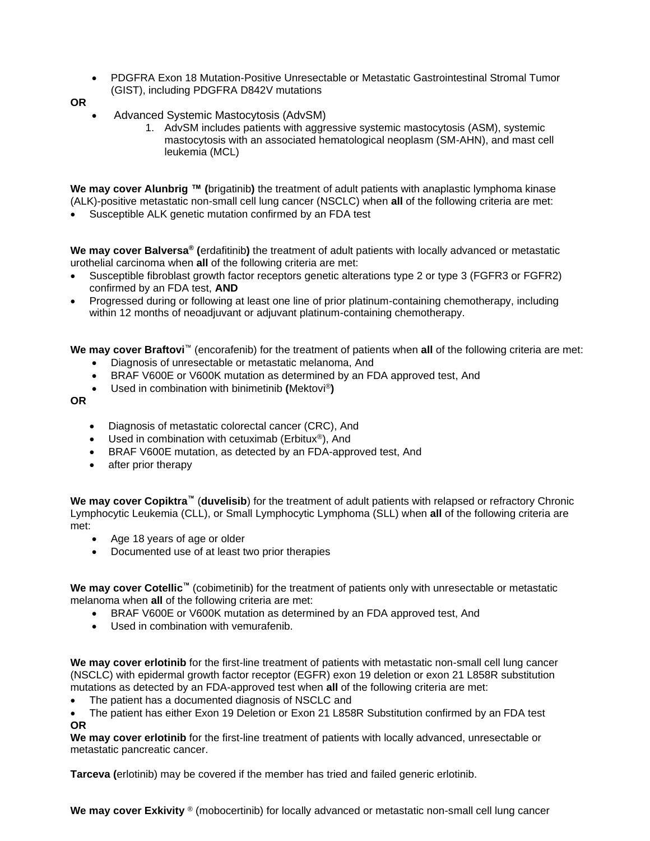- PDGFRA Exon 18 Mutation-Positive Unresectable or Metastatic Gastrointestinal Stromal Tumor (GIST), including PDGFRA D842V mutations
- **OR**
	- Advanced Systemic Mastocytosis (AdvSM)
		- 1. AdvSM includes patients with aggressive systemic mastocytosis (ASM), systemic mastocytosis with an associated hematological neoplasm (SM-AHN), and mast cell leukemia (MCL)

**We may cover Alunbrig ™ (**brigatinib**)** the treatment of adult patients with anaplastic lymphoma kinase (ALK)-positive metastatic non-small cell lung cancer (NSCLC) when **all** of the following criteria are met:

• Susceptible ALK genetic mutation confirmed by an FDA test

**We may cover Balversa® (**erdafitinib**)** the treatment of adult patients with locally advanced or metastatic urothelial carcinoma when **all** of the following criteria are met:

- Susceptible fibroblast growth factor receptors genetic alterations type 2 or type 3 (FGFR3 or FGFR2) confirmed by an FDA test, **AND**
- Progressed during or following at least one line of prior platinum-containing chemotherapy, including within 12 months of neoadjuvant or adjuvant platinum-containing chemotherapy.

**We may cover Braftovi**™ (encorafenib) for the treatment of patients when **all** of the following criteria are met:

- Diagnosis of unresectable or metastatic melanoma, And
- BRAF V600E or V600K mutation as determined by an FDA approved test, And
- Used in combination with binimetinib **(**Mektovi®**)**

**OR**

- Diagnosis of metastatic colorectal cancer (CRC), And
- Used in combination with cetuximab (Erbitux<sup>®</sup>), And
- BRAF V600E mutation, as detected by an FDA-approved test, And
- after prior therapy

**We may cover Copiktra™** (**duvelisib**) for the treatment of adult patients with relapsed or refractory Chronic Lymphocytic Leukemia (CLL), or Small Lymphocytic Lymphoma (SLL) when **all** of the following criteria are met:

- Age 18 years of age or older
- Documented use of at least two prior therapies

**We may cover Cotellic™** (cobimetinib) for the treatment of patients only with unresectable or metastatic melanoma when **all** of the following criteria are met:

- BRAF V600E or V600K mutation as determined by an FDA approved test, And
- Used in combination with vemurafenib.

**We may cover erlotinib** for the first-line treatment of patients with metastatic non-small cell lung cancer (NSCLC) with epidermal growth factor receptor (EGFR) exon 19 deletion or exon 21 L858R substitution mutations as detected by an FDA-approved test when **all** of the following criteria are met:

The patient has a documented diagnosis of NSCLC and

• The patient has either Exon 19 Deletion or Exon 21 L858R Substitution confirmed by an FDA test **OR**

**We may cover erlotinib** for the first-line treatment of patients with locally advanced, unresectable or metastatic pancreatic cancer.

**Tarceva (**erlotinib) may be covered if the member has tried and failed generic erlotinib.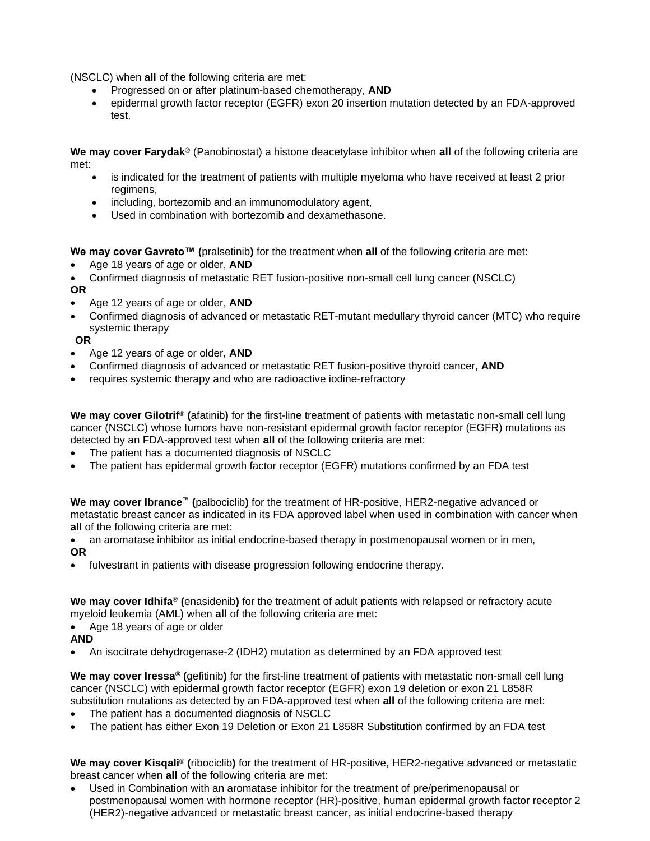(NSCLC) when **all** of the following criteria are met:

- Progressed on or after platinum-based chemotherapy, **AND**
- epidermal growth factor receptor (EGFR) exon 20 insertion mutation detected by an FDA-approved test.

**We may cover Farydak**® (Panobinostat) a histone deacetylase inhibitor when **all** of the following criteria are met:

- is indicated for the treatment of patients with multiple myeloma who have received at least 2 prior regimens,
- including, bortezomib and an immunomodulatory agent,
- Used in combination with bortezomib and dexamethasone.

**We may cover Gavreto™ (**pralsetinib**)** for the treatment when **all** of the following criteria are met:

• Age 18 years of age or older, **AND**

• Confirmed diagnosis of metastatic RET fusion-positive non-small cell lung cancer (NSCLC)

## **OR**

- Age 12 years of age or older, **AND**
- Confirmed diagnosis of advanced or metastatic RET-mutant medullary thyroid cancer (MTC) who require systemic therapy

#### **OR**

- Age 12 years of age or older, **AND**
- Confirmed diagnosis of advanced or metastatic RET fusion-positive thyroid cancer, **AND**
- requires systemic therapy and who are radioactive iodine-refractory

**We may cover Gilotrif**® **(**afatinib**)** for the first-line treatment of patients with metastatic non-small cell lung cancer (NSCLC) whose tumors have non-resistant epidermal growth factor receptor (EGFR) mutations as detected by an FDA-approved test when **all** of the following criteria are met:

- The patient has a documented diagnosis of NSCLC
- The patient has epidermal growth factor receptor (EGFR) mutations confirmed by an FDA test

**We may cover Ibrance™ (**palbociclib**)** for the treatment of HR-positive, HER2-negative advanced or metastatic breast cancer as indicated in its FDA approved label when used in combination with cancer when **all** of the following criteria are met:

• an aromatase inhibitor as initial endocrine-based therapy in postmenopausal women or in men, **OR**

• fulvestrant in patients with disease progression following endocrine therapy.

**We may cover Idhifa**® **(**enasidenib**)** for the treatment of adult patients with relapsed or refractory acute myeloid leukemia (AML) when **all** of the following criteria are met:

Age 18 years of age or older

#### **AND**

• An isocitrate dehydrogenase-2 (IDH2) mutation as determined by an FDA approved test

**We may cover Iressa® (**gefitinib**)** for the first-line treatment of patients with metastatic non-small cell lung cancer (NSCLC) with epidermal growth factor receptor (EGFR) exon 19 deletion or exon 21 L858R substitution mutations as detected by an FDA-approved test when **all** of the following criteria are met:

- The patient has a documented diagnosis of NSCLC
- The patient has either Exon 19 Deletion or Exon 21 L858R Substitution confirmed by an FDA test

**We may cover Kisqali**® **(**ribociclib**)** for the treatment of HR-positive, HER2-negative advanced or metastatic breast cancer when **all** of the following criteria are met:

• Used in Combination with an aromatase inhibitor for the treatment of pre/perimenopausal or postmenopausal women with hormone receptor (HR)-positive, human epidermal growth factor receptor 2 (HER2)-negative advanced or metastatic breast cancer, as initial endocrine-based therapy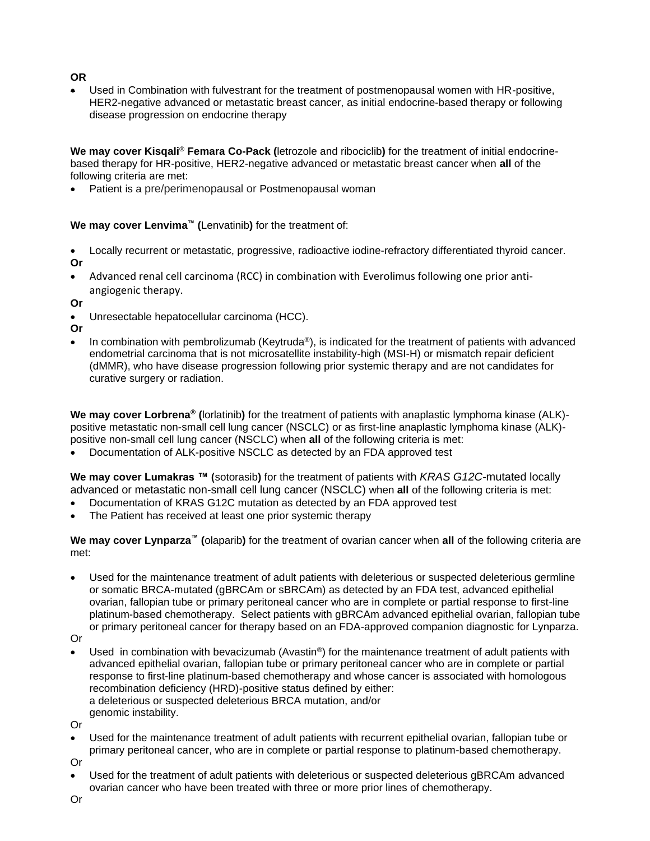## **OR**

• Used in Combination with fulvestrant for the treatment of postmenopausal women with HR-positive, HER2-negative advanced or metastatic breast cancer, as initial endocrine-based therapy or following disease progression on endocrine therapy

**We may cover Kisqali**® **Femara Co-Pack (**letrozole and ribociclib**)** for the treatment of initial endocrinebased therapy for HR-positive, HER2-negative advanced or metastatic breast cancer when **all** of the following criteria are met:

Patient is a pre/perimenopausal or Postmenopausal woman

**We may cover Lenvima™ (**Lenvatinib**)** for the treatment of:

• Locally recurrent or metastatic, progressive, radioactive iodine-refractory differentiated thyroid cancer. **Or**

• Advanced renal cell carcinoma (RCC) in combination with Everolimus following one prior antiangiogenic therapy.

**Or**

• Unresectable hepatocellular carcinoma (HCC).

**Or**

• In combination with pembrolizumab (Keytruda®), is indicated for the treatment of patients with advanced endometrial carcinoma that is not microsatellite instability-high (MSI-H) or mismatch repair deficient (dMMR), who have disease progression following prior systemic therapy and are not candidates for curative surgery or radiation.

**We may cover Lorbrena® (**lorlatinib**)** for the treatment of patients with anaplastic lymphoma kinase (ALK) positive metastatic non-small cell lung cancer (NSCLC) or as first-line anaplastic lymphoma kinase (ALK) positive non-small cell lung cancer (NSCLC) when **all** of the following criteria is met:

• Documentation of ALK-positive NSCLC as detected by an FDA approved test

**We may cover Lumakras ™ (**sotorasib**)** for the treatment of patients with *KRAS G12C*-mutated locally advanced or metastatic non-small cell lung cancer (NSCLC) when **all** of the following criteria is met:

- Documentation of KRAS G12C mutation as detected by an FDA approved test
- The Patient has received at least one prior systemic therapy

**We may cover Lynparza™ (**olaparib**)** for the treatment of ovarian cancer when **all** of the following criteria are met:

• Used for the maintenance treatment of adult patients with deleterious or suspected deleterious germline or somatic BRCA-mutated (gBRCAm or sBRCAm) as detected by an FDA test, advanced epithelial ovarian, fallopian tube or primary peritoneal cancer who are in complete or partial response to first-line platinum-based chemotherapy. Select patients with gBRCAm advanced epithelial ovarian, fallopian tube or primary peritoneal cancer for therapy based on an FDA-approved companion diagnostic for Lynparza.

Or

Used in combination with bevacizumab (Avastin<sup>®</sup>) for the maintenance treatment of adult patients with advanced epithelial ovarian, fallopian tube or primary peritoneal cancer who are in complete or partial response to first-line platinum-based chemotherapy and whose cancer is associated with homologous recombination deficiency (HRD)-positive status defined by either: a deleterious or suspected deleterious BRCA mutation, and/or genomic instability.

Or

• Used for the maintenance treatment of adult patients with recurrent epithelial ovarian, fallopian tube or primary peritoneal cancer, who are in complete or partial response to platinum-based chemotherapy.

Or

• Used for the treatment of adult patients with deleterious or suspected deleterious gBRCAm advanced ovarian cancer who have been treated with three or more prior lines of chemotherapy.

Or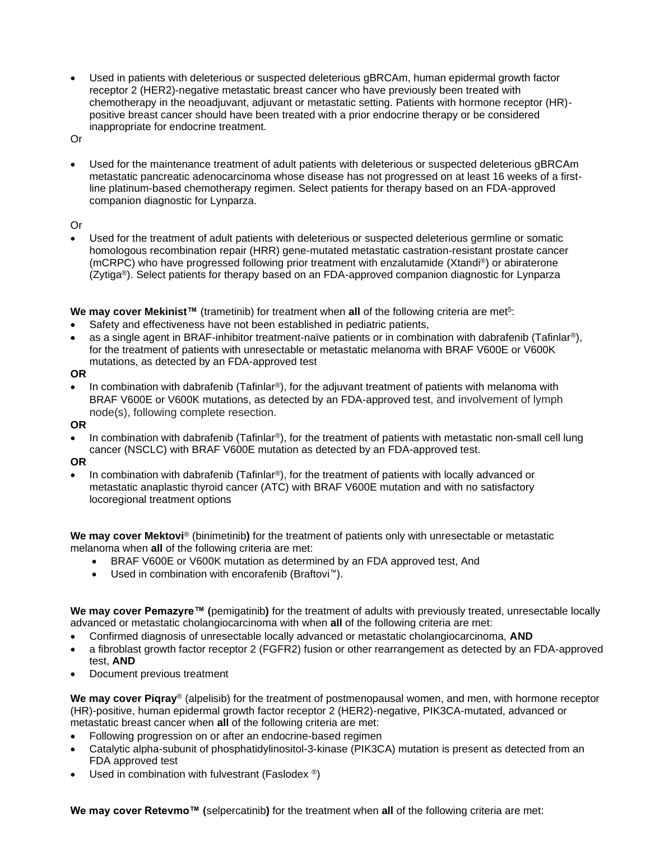• Used in patients with deleterious or suspected deleterious gBRCAm, human epidermal growth factor receptor 2 (HER2)-negative metastatic breast cancer who have previously been treated with chemotherapy in the neoadjuvant, adjuvant or metastatic setting. Patients with hormone receptor (HR) positive breast cancer should have been treated with a prior endocrine therapy or be considered inappropriate for endocrine treatment.

Or

• Used for the maintenance treatment of adult patients with deleterious or suspected deleterious gBRCAm metastatic pancreatic adenocarcinoma whose disease has not progressed on at least 16 weeks of a firstline platinum-based chemotherapy regimen. Select patients for therapy based on an FDA-approved companion diagnostic for Lynparza.

#### Or

• Used for the treatment of adult patients with deleterious or suspected deleterious germline or somatic homologous recombination repair (HRR) gene-mutated metastatic castration-resistant prostate cancer (mCRPC) who have progressed following prior treatment with enzalutamide (Xtandi®) or abiraterone (Zytiga®). Select patients for therapy based on an FDA-approved companion diagnostic for Lynparza

**We may cover Mekinist™** (trametinib) for treatment when all of the following criteria are met<sup>5</sup>:

- Safety and effectiveness have not been established in pediatric patients,
- as a single agent in BRAF-inhibitor treatment-naïve patients or in combination with dabrafenib (Tafinlar<sup>®</sup>), for the treatment of patients with unresectable or metastatic melanoma with BRAF V600E or V600K mutations, as detected by an FDA-approved test

**OR**

- In combination with dabrafenib (Tafinlar®), for the adjuvant treatment of patients with melanoma with BRAF V600E or V600K mutations, as detected by an FDA-approved test, and involvement of lymph node(s), following complete resection.
- **OR**
- In combination with dabrafenib (Tafinlar®), for the treatment of patients with metastatic non-small cell lung cancer (NSCLC) with BRAF V600E mutation as detected by an FDA-approved test.

#### **OR**

• In combination with dabrafenib (Tafinlar®), for the treatment of patients with locally advanced or metastatic anaplastic thyroid cancer (ATC) with BRAF V600E mutation and with no satisfactory locoregional treatment options

**We may cover Mektovi**® (binimetinib**)** for the treatment of patients only with unresectable or metastatic melanoma when **all** of the following criteria are met:

- BRAF V600E or V600K mutation as determined by an FDA approved test, And
- Used in combination with encorafenib (Braftovi™).

**We may cover Pemazyre™ (**pemigatinib**)** for the treatment of adults with previously treated, unresectable locally advanced or metastatic cholangiocarcinoma with when **all** of the following criteria are met:

- Confirmed diagnosis of unresectable locally advanced or metastatic cholangiocarcinoma, **AND**
- a fibroblast growth factor receptor 2 (FGFR2) fusion or other rearrangement as detected by an FDA-approved test, **AND**
- Document previous treatment

**We may cover Piqray**® (alpelisib) for the treatment of postmenopausal women, and men, with hormone receptor (HR)-positive, human epidermal growth factor receptor 2 (HER2)-negative, PIK3CA-mutated, advanced or metastatic breast cancer when **all** of the following criteria are met:

- Following progression on or after an endocrine-based regimen
- Catalytic alpha-subunit of phosphatidylinositol-3-kinase (PIK3CA) mutation is present as detected from an FDA approved test
- Used in combination with fulvestrant (Faslodex  $\circledast$ )

**We may cover Retevmo™ (**selpercatinib**)** for the treatment when **all** of the following criteria are met: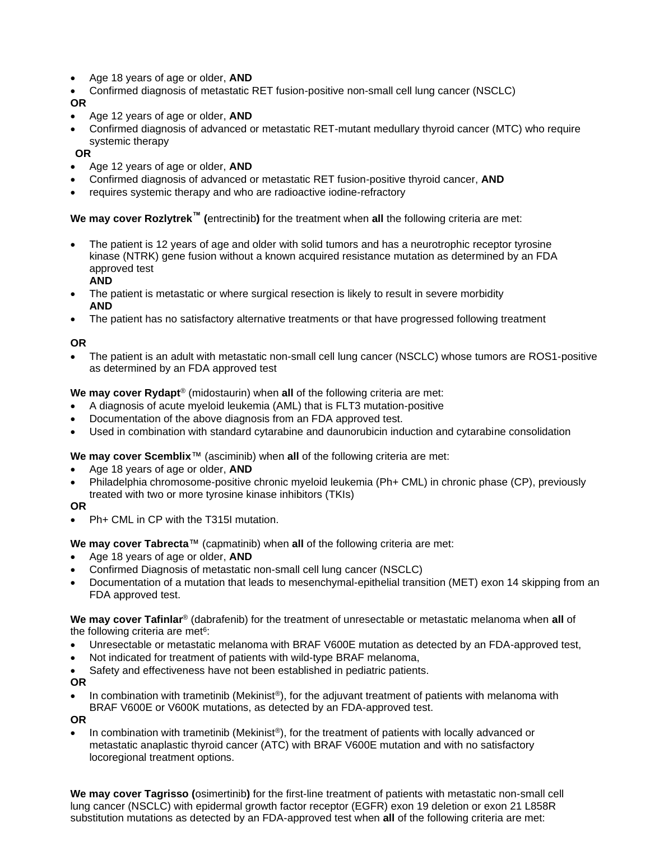- Age 18 years of age or older, **AND**
- Confirmed diagnosis of metastatic RET fusion-positive non-small cell lung cancer (NSCLC)

#### **OR**

- Age 12 years of age or older, **AND**
- Confirmed diagnosis of advanced or metastatic RET-mutant medullary thyroid cancer (MTC) who require systemic therapy

#### **OR**

- Age 12 years of age or older, **AND**
- Confirmed diagnosis of advanced or metastatic RET fusion-positive thyroid cancer, **AND**
- requires systemic therapy and who are radioactive iodine-refractory

## **We may cover Rozlytrek™ (**entrectinib**)** for the treatment when **all** the following criteria are met:

- The patient is 12 years of age and older with solid tumors and has a neurotrophic receptor tyrosine kinase (NTRK) gene fusion without a known acquired resistance mutation as determined by an FDA approved test
	- **AND**
- The patient is metastatic or where surgical resection is likely to result in severe morbidity **AND**
- The patient has no satisfactory alternative treatments or that have progressed following treatment

## **OR**

• The patient is an adult with metastatic non-small cell lung cancer (NSCLC) whose tumors are ROS1-positive as determined by an FDA approved test

#### **We may cover Rydapt**® (midostaurin) when **all** of the following criteria are met:

- A diagnosis of acute myeloid leukemia (AML) that is FLT3 mutation-positive
- Documentation of the above diagnosis from an FDA approved test.
- Used in combination with standard cytarabine and daunorubicin induction and cytarabine consolidation

## **We may cover Scemblix**™ (asciminib) when **all** of the following criteria are met:

- Age 18 years of age or older, **AND**
- Philadelphia chromosome-positive chronic myeloid leukemia (Ph+ CML) in chronic phase (CP), previously treated with two or more tyrosine kinase inhibitors (TKIs)

#### **OR**

• Ph+ CML in CP with the T315I mutation.

## **We may cover Tabrecta**™ (capmatinib) when **all** of the following criteria are met:

- Age 18 years of age or older, **AND**
- Confirmed Diagnosis of metastatic non-small cell lung cancer (NSCLC)
- Documentation of a mutation that leads to mesenchymal-epithelial transition (MET) exon 14 skipping from an FDA approved test.

**We may cover Tafinlar**® (dabrafenib) for the treatment of unresectable or metastatic melanoma when **all** of the following criteria are met<sup>6</sup>:

- Unresectable or metastatic melanoma with BRAF V600E mutation as detected by an FDA-approved test,
- Not indicated for treatment of patients with wild-type BRAF melanoma,
- Safety and effectiveness have not been established in pediatric patients.

#### **OR**

In combination with trametinib (Mekinist®), for the adjuvant treatment of patients with melanoma with BRAF V600E or V600K mutations, as detected by an FDA-approved test.

**OR**

In combination with trametinib (Mekinist®), for the treatment of patients with locally advanced or metastatic anaplastic thyroid cancer (ATC) with BRAF V600E mutation and with no satisfactory locoregional treatment options.

**We may cover Tagrisso (**osimertinib**)** for the first-line treatment of patients with metastatic non-small cell lung cancer (NSCLC) with epidermal growth factor receptor (EGFR) exon 19 deletion or exon 21 L858R substitution mutations as detected by an FDA-approved test when **all** of the following criteria are met: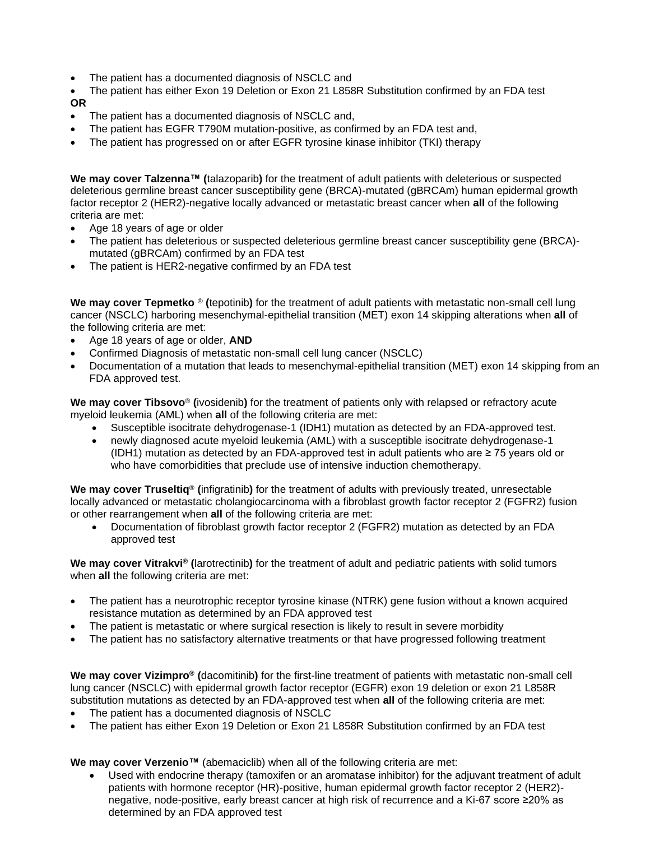• The patient has a documented diagnosis of NSCLC and

• The patient has either Exon 19 Deletion or Exon 21 L858R Substitution confirmed by an FDA test **OR**

- The patient has a documented diagnosis of NSCLC and,
- The patient has EGFR T790M mutation-positive, as confirmed by an FDA test and,
- The patient has progressed on or after EGFR tyrosine kinase inhibitor (TKI) therapy

**We may cover Talzenna™ (**talazoparib**)** for the treatment of adult patients with deleterious or suspected deleterious germline breast cancer susceptibility gene (BRCA)-mutated (gBRCAm) human epidermal growth factor receptor 2 (HER2)-negative locally advanced or metastatic breast cancer when **all** of the following criteria are met:

- Age 18 years of age or older
- The patient has deleterious or suspected deleterious germline breast cancer susceptibility gene (BRCA)mutated (gBRCAm) confirmed by an FDA test
- The patient is HER2-negative confirmed by an FDA test

**We may cover Tepmetko** ® **(**tepotinib**)** for the treatment of adult patients with metastatic non-small cell lung cancer (NSCLC) harboring mesenchymal-epithelial transition (MET) exon 14 skipping alterations when **all** of the following criteria are met:

- Age 18 years of age or older, **AND**
- Confirmed Diagnosis of metastatic non-small cell lung cancer (NSCLC)
- Documentation of a mutation that leads to mesenchymal-epithelial transition (MET) exon 14 skipping from an FDA approved test.

**We may cover Tibsovo**® **(**ivosidenib**)** for the treatment of patients only with relapsed or refractory acute myeloid leukemia (AML) when **all** of the following criteria are met:

- Susceptible isocitrate dehydrogenase-1 (IDH1) mutation as detected by an FDA-approved test.
- newly diagnosed acute myeloid leukemia (AML) with a susceptible isocitrate dehydrogenase-1 (IDH1) mutation as detected by an FDA-approved test in adult patients who are ≥ 75 years old or who have comorbidities that preclude use of intensive induction chemotherapy.

**We may cover Truseltiq**® **(**infigratinib**)** for the treatment of adults with previously treated, unresectable locally advanced or metastatic cholangiocarcinoma with a fibroblast growth factor receptor 2 (FGFR2) fusion or other rearrangement when **all** of the following criteria are met:

• Documentation of fibroblast growth factor receptor 2 (FGFR2) mutation as detected by an FDA approved test

**We may cover Vitrakvi® (**larotrectinib**)** for the treatment of adult and pediatric patients with solid tumors when **all** the following criteria are met:

- The patient has a neurotrophic receptor tyrosine kinase (NTRK) gene fusion without a known acquired resistance mutation as determined by an FDA approved test
- The patient is metastatic or where surgical resection is likely to result in severe morbidity
- The patient has no satisfactory alternative treatments or that have progressed following treatment

**We may cover Vizimpro® (**dacomitinib**)** for the first-line treatment of patients with metastatic non-small cell lung cancer (NSCLC) with epidermal growth factor receptor (EGFR) exon 19 deletion or exon 21 L858R substitution mutations as detected by an FDA-approved test when **all** of the following criteria are met:

- The patient has a documented diagnosis of NSCLC
- The patient has either Exon 19 Deletion or Exon 21 L858R Substitution confirmed by an FDA test

**We may cover Verzenio™** (abemaciclib) when all of the following criteria are met:

• Used with endocrine therapy (tamoxifen or an aromatase inhibitor) for the adjuvant treatment of adult patients with hormone receptor (HR)-positive, human epidermal growth factor receptor 2 (HER2) negative, node-positive, early breast cancer at high risk of recurrence and a Ki-67 score ≥20% as determined by an FDA approved test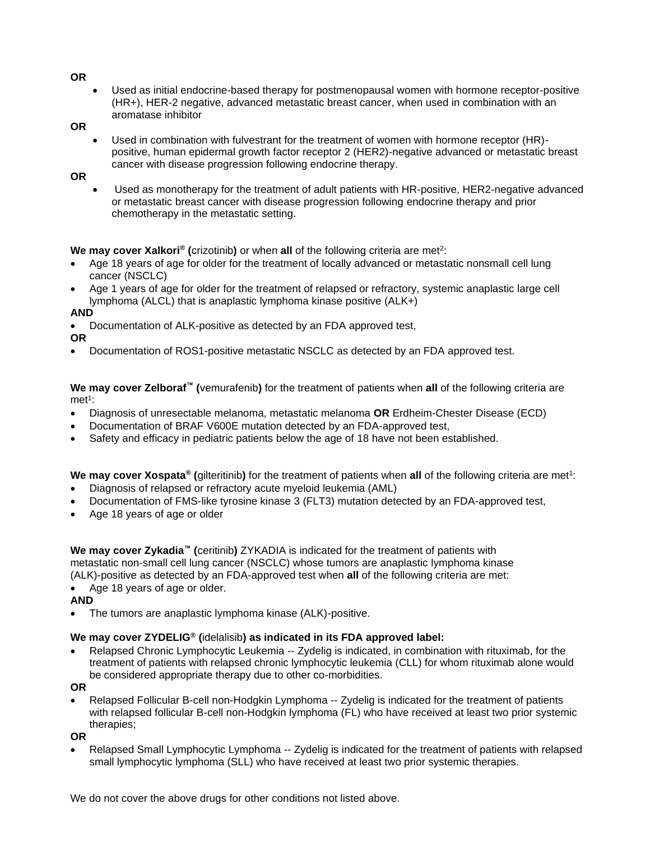**OR**

• Used as initial endocrine-based therapy for postmenopausal women with hormone receptor-positive (HR+), HER-2 negative, advanced metastatic breast cancer, when used in combination with an aromatase inhibitor

**OR**

• Used in combination with fulvestrant for the treatment of women with hormone receptor (HR) positive, human epidermal growth factor receptor 2 (HER2)-negative advanced or metastatic breast cancer with disease progression following endocrine therapy.

**OR**

• Used as monotherapy for the treatment of adult patients with HR-positive, HER2-negative advanced or metastatic breast cancer with disease progression following endocrine therapy and prior chemotherapy in the metastatic setting.

# We may cover Xalkori® (crizotinib) or when all of the following criteria are met<sup>2</sup>:

- Age 18 years of age for older for the treatment of locally advanced or metastatic nonsmall cell lung cancer (NSCLC)
- Age 1 years of age for older for the treatment of relapsed or refractory, systemic anaplastic large cell lymphoma (ALCL) that is anaplastic lymphoma kinase positive (ALK+)

## **AND**

• Documentation of ALK-positive as detected by an FDA approved test,

**OR**

• Documentation of ROS1-positive metastatic NSCLC as detected by an FDA approved test.

**We may cover Zelboraf™ (**vemurafenib**)** for the treatment of patients when **all** of the following criteria are met<sup>1</sup>:

- Diagnosis of unresectable melanoma, metastatic melanoma **OR** Erdheim-Chester Disease (ECD)
- Documentation of BRAF V600E mutation detected by an FDA-approved test,
- Safety and efficacy in pediatric patients below the age of 18 have not been established.

**We may cover Xospata®** (gilteritinib) for the treatment of patients when all of the following criteria are met<sup>1</sup>:

- Diagnosis of relapsed or refractory acute myeloid leukemia (AML)
- Documentation of FMS-like tyrosine kinase 3 (FLT3) mutation detected by an FDA-approved test,
- Age 18 years of age or older

**We may cover Zykadia™ (**ceritinib**)** ZYKADIA is indicated for the treatment of patients with metastatic non-small cell lung cancer (NSCLC) whose tumors are anaplastic lymphoma kinase (ALK)-positive as detected by an FDA-approved test when **all** of the following criteria are met:

• Age 18 years of age or older.

**AND**

• The tumors are anaplastic lymphoma kinase (ALK)-positive.

## **We may cover ZYDELIG® (**idelalisib**) as indicated in its FDA approved label:**

• Relapsed Chronic Lymphocytic Leukemia -- Zydelig is indicated, in combination with rituximab, for the treatment of patients with relapsed chronic lymphocytic leukemia (CLL) for whom rituximab alone would be considered appropriate therapy due to other co-morbidities.

**OR**

• Relapsed Follicular B-cell non-Hodgkin Lymphoma -- Zydelig is indicated for the treatment of patients with relapsed follicular B-cell non-Hodgkin lymphoma (FL) who have received at least two prior systemic therapies;

**OR**

Relapsed Small Lymphocytic Lymphoma -- Zydelig is indicated for the treatment of patients with relapsed small lymphocytic lymphoma (SLL) who have received at least two prior systemic therapies.

We do not cover the above drugs for other conditions not listed above.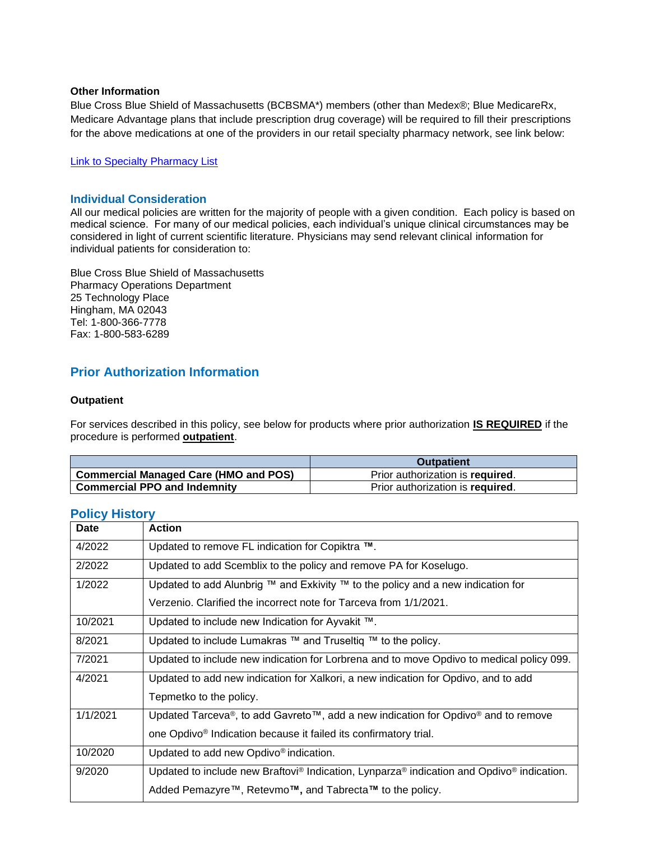#### **Other Information**

Blue Cross Blue Shield of Massachusetts (BCBSMA\*) members (other than Medex®; Blue MedicareRx, Medicare Advantage plans that include prescription drug coverage) will be required to fill their prescriptions for the above medications at one of the providers in our retail specialty pharmacy network, see link below:

#### [Link to Specialty Pharmacy List](https://www.bluecrossma.org/medical-policies/sites/g/files/csphws2091/files/acquiadam-assets/051%20Pharmacy%20Specialty%20List%20prn.pdf)

#### **Individual Consideration**

All our medical policies are written for the majority of people with a given condition. Each policy is based on medical science. For many of our medical policies, each individual's unique clinical circumstances may be considered in light of current scientific literature. Physicians may send relevant clinical information for individual patients for consideration to:

Blue Cross Blue Shield of Massachusetts Pharmacy Operations Department 25 Technology Place Hingham, MA 02043 Tel: 1-800-366-7778 Fax: 1-800-583-6289

# **Prior Authorization Information**

#### **Outpatient**

For services described in this policy, see below for products where prior authorization **IS REQUIRED** if the procedure is performed **outpatient**.

|                                              | <b>Outpatient</b>                |
|----------------------------------------------|----------------------------------|
| <b>Commercial Managed Care (HMO and POS)</b> | Prior authorization is required. |
| <b>Commercial PPO and Indemnity</b>          | Prior authorization is required. |

| Date     | <b>Action</b>                                                                             |
|----------|-------------------------------------------------------------------------------------------|
| 4/2022   | Updated to remove FL indication for Copiktra ™.                                           |
| 2/2022   | Updated to add Scemblix to the policy and remove PA for Koselugo.                         |
| 1/2022   | Updated to add Alunbrig ™ and Exkivity ™ to the policy and a new indication for           |
|          | Verzenio. Clarified the incorrect note for Tarceva from 1/1/2021.                         |
| 10/2021  | Updated to include new Indication for Ayvakit ™.                                          |
| 8/2021   | Updated to include Lumakras ™ and Truseltiq ™ to the policy.                              |
| 7/2021   | Updated to include new indication for Lorbrena and to move Opdivo to medical policy 099.  |
| 4/2021   | Updated to add new indication for Xalkori, a new indication for Opdivo, and to add        |
|          | Tepmetko to the policy.                                                                   |
| 1/1/2021 | Updated Tarceva®, to add Gavreto™, add a new indication for Opdivo® and to remove         |
|          | one Opdivo <sup>®</sup> Indication because it failed its confirmatory trial.              |
| 10/2020  | Updated to add new Opdivo <sup>®</sup> indication.                                        |
| 9/2020   | Updated to include new Braftovi® Indication, Lynparza® indication and Opdivo® indication. |
|          | Added Pemazyre™, Retevmo™, and Tabrecta™ to the policy.                                   |

# <span id="page-9-0"></span>**Policy History**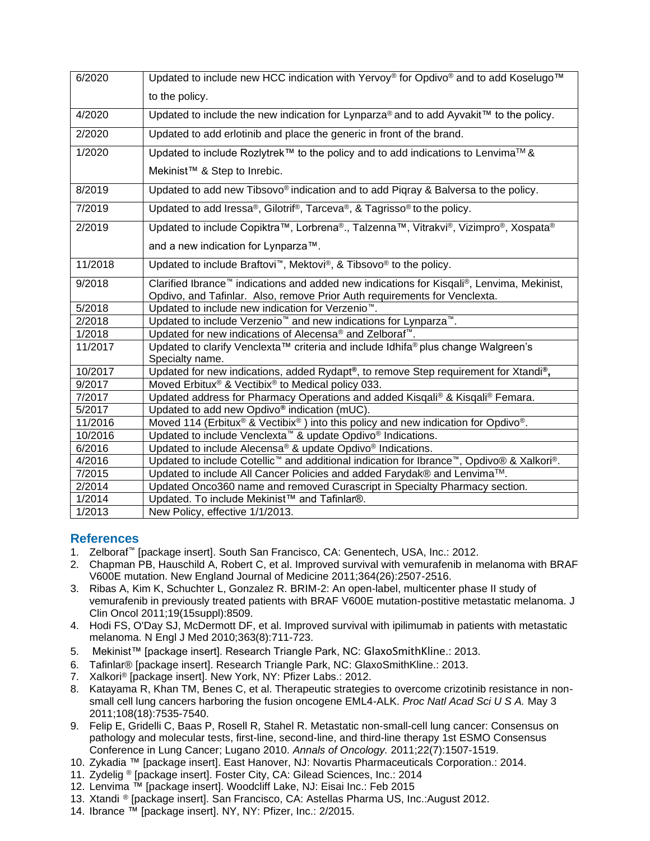| 6/2020  | Updated to include new HCC indication with Yervoy® for Opdivo® and to add Koselugo™                  |
|---------|------------------------------------------------------------------------------------------------------|
|         | to the policy.                                                                                       |
| 4/2020  | Updated to include the new indication for Lynparza® and to add Ayvakit™ to the policy.               |
| 2/2020  | Updated to add erlotinib and place the generic in front of the brand.                                |
| 1/2020  | Updated to include Rozlytrek™ to the policy and to add indications to Lenvima™ &                     |
|         | Mekinist <sup>™</sup> & Step to Inrebic.                                                             |
| 8/2019  | Updated to add new Tibsovo® indication and to add Pigray & Balversa to the policy.                   |
| 7/2019  | Updated to add Iressa®, Gilotrif®, Tarceva®, & Tagrisso® to the policy.                              |
| 2/2019  | Updated to include Copiktra™, Lorbrena®., Talzenna™, Vitrakvi®, Vizimpro®, Xospata®                  |
|         | and a new indication for Lynparza™.                                                                  |
| 11/2018 | Updated to include Braftovi <sup>™</sup> , Mektovi®, & Tibsovo® to the policy.                       |
| 9/2018  | Clarified Ibrance™ indications and added new indications for Kisqali®, Lenvima, Mekinist,            |
|         | Opdivo, and Tafinlar. Also, remove Prior Auth requirements for Venclexta.                            |
| 5/2018  | Updated to include new indication for Verzenio <sup>™</sup> .                                        |
| 2/2018  | Updated to include Verzenio <sup>™</sup> and new indications for Lynparza <sup>™</sup> .             |
| 1/2018  | Updated for new indications of Alecensa® and Zelboraf <sup>™</sup> .                                 |
| 11/2017 | Updated to clarify Venclexta™ criteria and include Idhifa® plus change Walgreen's                    |
|         | Specialty name.                                                                                      |
| 10/2017 | Updated for new indications, added Rydapt®, to remove Step requirement for Xtandi®,                  |
| 9/2017  | Moved Erbitux <sup>®</sup> & Vectibix <sup>®</sup> to Medical policy 033.                            |
| 7/2017  | Updated address for Pharmacy Operations and added Kisqali® & Kisqali® Femara.                        |
| 5/2017  | Updated to add new Opdivo® indication (mUC).                                                         |
| 11/2016 | Moved 114 (Erbitux® & Vectibix®) into this policy and new indication for Opdivo®.                    |
| 10/2016 | Updated to include Venclexta <sup>™</sup> & update Opdivo <sup>®</sup> Indications.                  |
| 6/2016  | Updated to include Alecensa® & update Opdivo® Indications.                                           |
| 4/2016  | Updated to include Cotellic <sup>™</sup> and additional indication for Ibrance™, Opdivo® & Xalkori®. |
| 7/2015  | Updated to include All Cancer Policies and added Farydak® and Lenvima™.                              |
| 2/2014  | Updated Onco360 name and removed Curascript in Specialty Pharmacy section.                           |
| 1/2014  | Updated. To include Mekinist™ and Tafinlar®.                                                         |
| 1/2013  | New Policy, effective 1/1/2013.                                                                      |

# <span id="page-10-0"></span>**References**

- 1. Zelboraf™ [package insert]. South San Francisco, CA: Genentech, USA, Inc.: 2012.
- 2. Chapman PB, Hauschild A, Robert C, et al. Improved survival with vemurafenib in melanoma with BRAF V600E mutation. New England Journal of Medicine 2011;364(26):2507-2516.
- 3. Ribas A, Kim K, Schuchter L, Gonzalez R. BRIM-2: An open-label, multicenter phase II study of vemurafenib in previously treated patients with BRAF V600E mutation-postitive metastatic melanoma. J Clin Oncol 2011;19(15suppl):8509.
- 4. Hodi FS, O'Day SJ, McDermott DF, et al. Improved survival with ipilimumab in patients with metastatic melanoma. N Engl J Med 2010;363(8):711-723.
- 5. Mekinist™ [package insert]. Research Triangle Park, NC: GlaxoSmithKline.: 2013.
- 6. Tafinlar® [package insert]. Research Triangle Park, NC: GlaxoSmithKline.: 2013.
- 7. Xalkori® [package insert]. New York, NY: Pfizer Labs.: 2012.
- 8. Katayama R, Khan TM, Benes C, et al. Therapeutic strategies to overcome crizotinib resistance in nonsmall cell lung cancers harboring the fusion oncogene EML4-ALK. *Proc Natl Acad Sci U S A.* May 3 2011;108(18):7535-7540.
- 9. Felip E, Gridelli C, Baas P, Rosell R, Stahel R. Metastatic non-small-cell lung cancer: Consensus on pathology and molecular tests, first-line, second-line, and third-line therapy 1st ESMO Consensus Conference in Lung Cancer; Lugano 2010. *Annals of Oncology.* 2011;22(7):1507-1519.
- 10. Zykadia ™ [package insert]. East Hanover, NJ: Novartis Pharmaceuticals Corporation.: 2014.
- 11. Zydelig ® [package insert]. Foster City, CA: Gilead Sciences, Inc.: 2014
- 12. Lenvima ™ [package insert]. Woodcliff Lake, NJ: Eisai Inc.: Feb 2015
- 13. Xtandi ® [package insert]. San Francisco, CA: Astellas Pharma US, Inc.:August 2012.
- 14. Ibrance ™ [package insert]. NY, NY: Pfizer, Inc.: 2/2015.